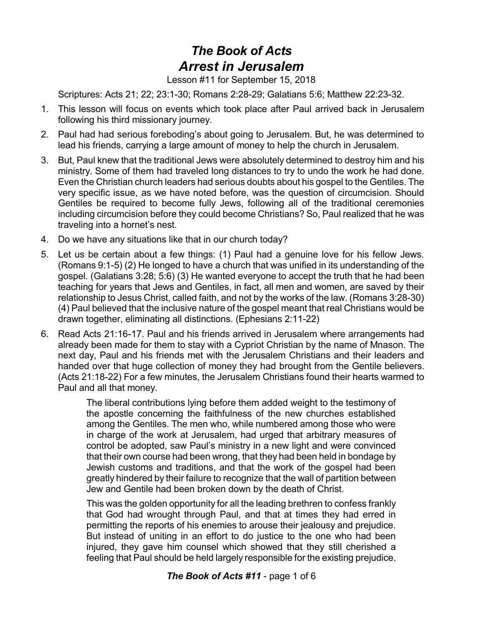## *The Book of Acts Arrest in Jerusalem*

Lesson #11 for September 15, 2018

Scriptures: Acts 21; 22; 23:1-30; Romans 2:28-29; Galatians 5:6; Matthew 22:23-32.

- 1. This lesson will focus on events which took place after Paul arrived back in Jerusalem following his third missionary journey.
- 2. Paul had had serious foreboding's about going to Jerusalem. But, he was determined to lead his friends, carrying a large amount of money to help the church in Jerusalem.
- 3. But, Paul knew that the traditional Jews were absolutely determined to destroy him and his ministry. Some of them had traveled long distances to try to undo the work he had done. Even the Christian church leaders had serious doubts about his gospel to the Gentiles. The very specific issue, as we have noted before, was the question of circumcision. Should Gentiles be required to become fully Jews, following all of the traditional ceremonies including circumcision before they could become Christians? So, Paul realized that he was traveling into a hornet's nest.
- 4. Do we have any situations like that in our church today?
- 5. Let us be certain about a few things: (1) Paul had a genuine love for his fellow Jews. (Romans 9:1-5) (2) He longed to have a church that was unified in its understanding of the gospel. (Galatians 3:28; 5:6) (3) He wanted everyone to accept the truth that he had been teaching for years that Jews and Gentiles, in fact, all men and women, are saved by their relationship to Jesus Christ, called faith, and not by the works of the law. (Romans 3:28-30) (4) Paul believed that the inclusive nature of the gospel meant that real Christians would be drawn together, eliminating all distinctions. (Ephesians 2:11-22)
- 6. Read Acts 21:16-17. Paul and his friends arrived in Jerusalem where arrangements had already been made for them to stay with a Cypriot Christian by the name of Mnason. The next day, Paul and his friends met with the Jerusalem Christians and their leaders and handed over that huge collection of money they had brought from the Gentile believers. (Acts 21:18-22) For a few minutes, the Jerusalem Christians found their hearts warmed to Paul and all that money.

The liberal contributions lying before them added weight to the testimony of the apostle concerning the faithfulness of the new churches established among the Gentiles. The men who, while numbered among those who were in charge of the work at Jerusalem, had urged that arbitrary measures of control be adopted, saw Paul's ministry in a new light and were convinced that their own course had been wrong, that they had been held in bondage by Jewish customs and traditions, and that the work of the gospel had been greatly hindered by their failure to recognize that the wall of partition between Jew and Gentile had been broken down by the death of Christ.

This was the golden opportunity for all the leading brethren to confess frankly that God had wrought through Paul, and that at times they had erred in permitting the reports of his enemies to arouse their jealousy and prejudice. But instead of uniting in an effort to do justice to the one who had been injured, they gave him counsel which showed that they still cherished a feeling that Paul should be held largely responsible for the existing prejudice.

## *The Book of Acts #11* - page 1 of 6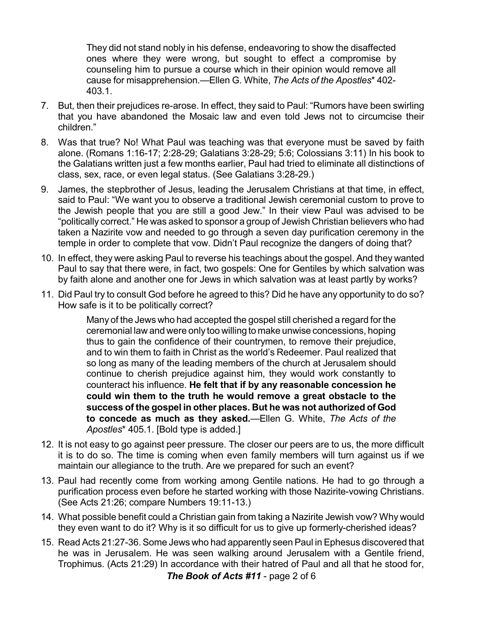They did not stand nobly in his defense, endeavoring to show the disaffected ones where they were wrong, but sought to effect a compromise by counseling him to pursue a course which in their opinion would remove all cause for misapprehension.—Ellen G. White, *The Acts of the Apostles*\* 402- 403.1.

- 7. But, then their prejudices re-arose. In effect, they said to Paul: "Rumors have been swirling that you have abandoned the Mosaic law and even told Jews not to circumcise their children."
- 8. Was that true? No! What Paul was teaching was that everyone must be saved by faith alone. (Romans 1:16-17; 2:28-29; Galatians 3:28-29; 5:6; Colossians 3:11) In his book to the Galatians written just a few months earlier, Paul had tried to eliminate all distinctions of class, sex, race, or even legal status. (See Galatians 3:28-29.)
- 9. James, the stepbrother of Jesus, leading the Jerusalem Christians at that time, in effect, said to Paul: "We want you to observe a traditional Jewish ceremonial custom to prove to the Jewish people that you are still a good Jew." In their view Paul was advised to be "politically correct." He was asked to sponsor a group of Jewish Christian believers who had taken a Nazirite vow and needed to go through a seven day purification ceremony in the temple in order to complete that vow. Didn't Paul recognize the dangers of doing that?
- 10. In effect, they were asking Paul to reverse his teachings about the gospel. And they wanted Paul to say that there were, in fact, two gospels: One for Gentiles by which salvation was by faith alone and another one for Jews in which salvation was at least partly by works?
- 11. Did Paul try to consult God before he agreed to this? Did he have any opportunity to do so? How safe is it to be politically correct?

Many of the Jews who had accepted the gospel still cherished a regard for the ceremonial law and were only too willing to make unwise concessions, hoping thus to gain the confidence of their countrymen, to remove their prejudice, and to win them to faith in Christ as the world's Redeemer. Paul realized that so long as many of the leading members of the church at Jerusalem should continue to cherish prejudice against him, they would work constantly to counteract his influence. **He felt that if by any reasonable concession he could win them to the truth he would remove a great obstacle to the success of the gospel in other places. But he was not authorized of God to concede as much as they asked.**—Ellen G. White, *The Acts of the Apostles*\* 405.1. [Bold type is added.]

- 12. It is not easy to go against peer pressure. The closer our peers are to us, the more difficult it is to do so. The time is coming when even family members will turn against us if we maintain our allegiance to the truth. Are we prepared for such an event?
- 13. Paul had recently come from working among Gentile nations. He had to go through a purification process even before he started working with those Nazirite-vowing Christians. (See Acts 21:26; compare Numbers 19:11-13.)
- 14. What possible benefit could a Christian gain from taking a Nazirite Jewish vow? Why would they even want to do it? Why is it so difficult for us to give up formerly-cherished ideas?
- 15. Read Acts 21:27-36. Some Jews who had apparently seen Paul in Ephesus discovered that he was in Jerusalem. He was seen walking around Jerusalem with a Gentile friend, Trophimus. (Acts 21:29) In accordance with their hatred of Paul and all that he stood for, *The Book of Acts #11* - page 2 of 6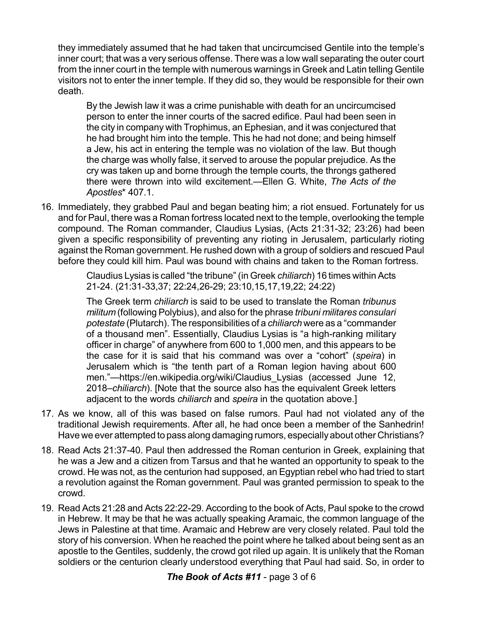they immediately assumed that he had taken that uncircumcised Gentile into the temple's inner court; that was a very serious offense. There was a low wall separating the outer court from the inner court in the temple with numerous warnings in Greek and Latin telling Gentile visitors not to enter the inner temple. If they did so, they would be responsible for their own death.

By the Jewish law it was a crime punishable with death for an uncircumcised person to enter the inner courts of the sacred edifice. Paul had been seen in the city in company with Trophimus, an Ephesian, and it was conjectured that he had brought him into the temple. This he had not done; and being himself a Jew, his act in entering the temple was no violation of the law. But though the charge was wholly false, it served to arouse the popular prejudice. As the cry was taken up and borne through the temple courts, the throngs gathered there were thrown into wild excitement.—Ellen G. White, *The Acts of the Apostles*\* 407.1.

16. Immediately, they grabbed Paul and began beating him; a riot ensued. Fortunately for us and for Paul, there was a Roman fortress located next to the temple, overlooking the temple compound. The Roman commander, Claudius Lysias, (Acts 21:31-32; 23:26) had been given a specific responsibility of preventing any rioting in Jerusalem, particularly rioting against the Roman government. He rushed down with a group of soldiers and rescued Paul before they could kill him. Paul was bound with chains and taken to the Roman fortress.

> Claudius Lysias is called "the tribune" (in Greek *chiliarch*) 16 times within Acts 21-24. (21:31-33,37; 22:24,26-29; 23:10,15,17,19,22; 24:22)

> The Greek term *chiliarch* is said to be used to translate the Roman *tribunus militum* (following Polybius), and also for the phrase *tribuni militares consulari potestate* (Plutarch). The responsibilities of a *chiliarch* were as a "commander of a thousand men". Essentially, Claudius Lysias is "a high-ranking military officer in charge" of anywhere from 600 to 1,000 men, and this appears to be the case for it is said that his command was over a "cohort" (*speira*) in Jerusalem which is "the tenth part of a Roman legion having about 600 men."—https://en.wikipedia.org/wiki/Claudius\_Lysias (accessed June 12, 2018–*chiliarch*). [Note that the source also has the equivalent Greek letters adjacent to the words *chiliarch* and *speira* in the quotation above.]

- 17. As we know, all of this was based on false rumors. Paul had not violated any of the traditional Jewish requirements. After all, he had once been a member of the Sanhedrin! Have we ever attempted to pass along damaging rumors, especiallyabout other Christians?
- 18. Read Acts 21:37-40. Paul then addressed the Roman centurion in Greek, explaining that he was a Jew and a citizen from Tarsus and that he wanted an opportunity to speak to the crowd. He was not, as the centurion had supposed, an Egyptian rebel who had tried to start a revolution against the Roman government. Paul was granted permission to speak to the crowd.
- 19. Read Acts 21:28 and Acts 22:22-29. According to the book of Acts, Paul spoke to the crowd in Hebrew. It may be that he was actually speaking Aramaic, the common language of the Jews in Palestine at that time. Aramaic and Hebrew are very closely related. Paul told the story of his conversion. When he reached the point where he talked about being sent as an apostle to the Gentiles, suddenly, the crowd got riled up again. It is unlikely that the Roman soldiers or the centurion clearly understood everything that Paul had said. So, in order to

## *The Book of Acts #11* - page 3 of 6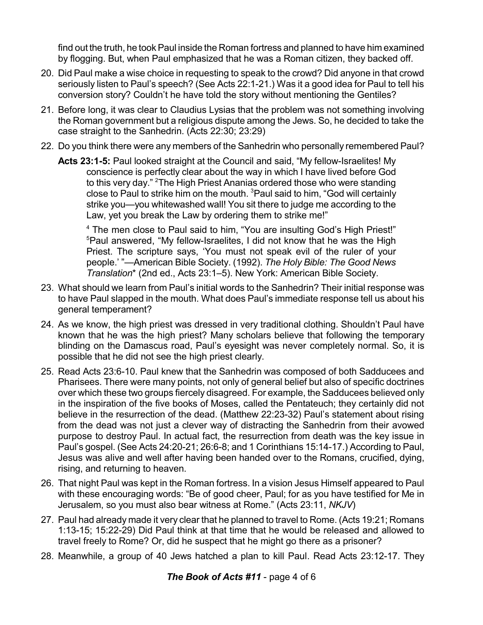find out the truth, he took Paul inside the Roman fortress and planned to have him examined by flogging. But, when Paul emphasized that he was a Roman citizen, they backed off.

- 20. Did Paul make a wise choice in requesting to speak to the crowd? Did anyone in that crowd seriously listen to Paul's speech? (See Acts 22:1-21.) Was it a good idea for Paul to tell his conversion story? Couldn't he have told the story without mentioning the Gentiles?
- 21. Before long, it was clear to Claudius Lysias that the problem was not something involving the Roman government but a religious dispute among the Jews. So, he decided to take the case straight to the Sanhedrin. (Acts 22:30; 23:29)
- 22. Do you think there were any members of the Sanhedrin who personally remembered Paul?
	- **Acts 23:1-5:** Paul looked straight at the Council and said, "My fellow-Israelites! My conscience is perfectly clear about the way in which I have lived before God to this very day." <sup>2</sup>The High Priest Ananias ordered those who were standing close to Paul to strike him on the mouth. <sup>3</sup>Paul said to him, "God will certainly strike you—you whitewashed wall! You sit there to judge me according to the Law, yet you break the Law by ordering them to strike me!"

<sup>4</sup> The men close to Paul said to him, "You are insulting God's High Priest!" <sup>5</sup>Paul answered, "My fellow-Israelites, I did not know that he was the High Priest. The scripture says, 'You must not speak evil of the ruler of your people.' "—American Bible Society. (1992). *The Holy Bible: The Good News Translation*\* (2nd ed., Acts 23:1–5). New York: American Bible Society.

- 23. What should we learn from Paul's initial words to the Sanhedrin? Their initial response was to have Paul slapped in the mouth. What does Paul's immediate response tell us about his general temperament?
- 24. As we know, the high priest was dressed in very traditional clothing. Shouldn't Paul have known that he was the high priest? Many scholars believe that following the temporary blinding on the Damascus road, Paul's eyesight was never completely normal. So, it is possible that he did not see the high priest clearly.
- 25. Read Acts 23:6-10. Paul knew that the Sanhedrin was composed of both Sadducees and Pharisees. There were many points, not only of general belief but also of specific doctrines over which these two groups fiercely disagreed. For example, the Sadducees believed only in the inspiration of the five books of Moses, called the Pentateuch; they certainly did not believe in the resurrection of the dead. (Matthew 22:23-32) Paul's statement about rising from the dead was not just a clever way of distracting the Sanhedrin from their avowed purpose to destroy Paul. In actual fact, the resurrection from death was the key issue in Paul's gospel. (See Acts 24:20-21; 26:6-8; and 1 Corinthians 15:14-17.) According to Paul, Jesus was alive and well after having been handed over to the Romans, crucified, dying, rising, and returning to heaven.
- 26. That night Paul was kept in the Roman fortress. In a vision Jesus Himself appeared to Paul with these encouraging words: "Be of good cheer, Paul; for as you have testified for Me in Jerusalem, so you must also bear witness at Rome." (Acts 23:11, *NKJV*)
- 27. Paul had already made it very clear that he planned to travel to Rome. (Acts 19:21; Romans 1:13-15; 15:22-29) Did Paul think at that time that he would be released and allowed to travel freely to Rome? Or, did he suspect that he might go there as a prisoner?
- 28. Meanwhile, a group of 40 Jews hatched a plan to kill Paul. Read Acts 23:12-17. They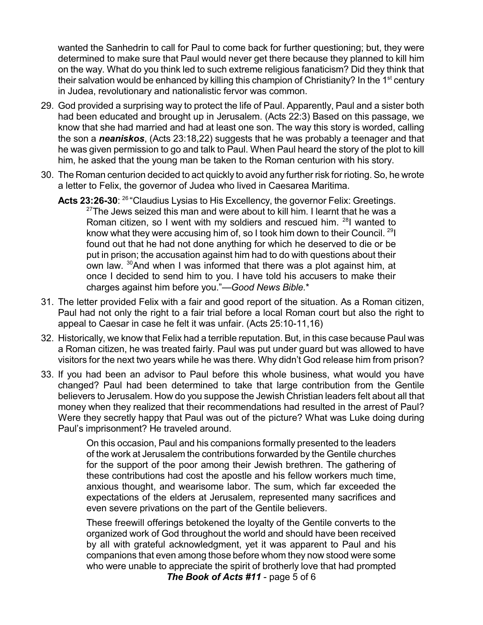wanted the Sanhedrin to call for Paul to come back for further questioning; but, they were determined to make sure that Paul would never get there because they planned to kill him on the way. What do you think led to such extreme religious fanaticism? Did they think that their salvation would be enhanced by killing this champion of Christianity? In the 1<sup>st</sup> century in Judea, revolutionary and nationalistic fervor was common.

- 29. God provided a surprising way to protect the life of Paul. Apparently, Paul and a sister both had been educated and brought up in Jerusalem. (Acts 22:3) Based on this passage, we know that she had married and had at least one son. The way this story is worded, calling the son a *neaniskos*, (Acts 23:18,22) suggests that he was probably a teenager and that he was given permission to go and talk to Paul. When Paul heard the story of the plot to kill him, he asked that the young man be taken to the Roman centurion with his story.
- 30. The Roman centurion decided to act quickly to avoid any further risk for rioting. So, he wrote a letter to Felix, the governor of Judea who lived in Caesarea Maritima.
	- Acts 23:26-30: <sup>26</sup> "Claudius Lysias to His Excellency, the governor Felix: Greetings.  $27$ The Jews seized this man and were about to kill him. I learnt that he was a Roman citizen, so I went with my soldiers and rescued him.  $28$ I wanted to know what they were accusing him of, so I took him down to their Council. <sup>29</sup>I found out that he had not done anything for which he deserved to die or be put in prison; the accusation against him had to do with questions about their own law. <sup>30</sup>And when I was informed that there was a plot against him, at once I decided to send him to you. I have told his accusers to make their charges against him before you."—*Good News Bible.*\*
- 31. The letter provided Felix with a fair and good report of the situation. As a Roman citizen, Paul had not only the right to a fair trial before a local Roman court but also the right to appeal to Caesar in case he felt it was unfair. (Acts 25:10-11,16)
- 32. Historically, we know that Felix had a terrible reputation. But, in this case because Paul was a Roman citizen, he was treated fairly. Paul was put under guard but was allowed to have visitors for the next two years while he was there. Why didn't God release him from prison?
- 33. If you had been an advisor to Paul before this whole business, what would you have changed? Paul had been determined to take that large contribution from the Gentile believers to Jerusalem. How do you suppose the Jewish Christian leaders felt about all that money when they realized that their recommendations had resulted in the arrest of Paul? Were they secretly happy that Paul was out of the picture? What was Luke doing during Paul's imprisonment? He traveled around.

On this occasion, Paul and his companions formally presented to the leaders of the work at Jerusalem the contributions forwarded by the Gentile churches for the support of the poor among their Jewish brethren. The gathering of these contributions had cost the apostle and his fellow workers much time, anxious thought, and wearisome labor. The sum, which far exceeded the expectations of the elders at Jerusalem, represented many sacrifices and even severe privations on the part of the Gentile believers.

These freewill offerings betokened the loyalty of the Gentile converts to the organized work of God throughout the world and should have been received by all with grateful acknowledgment, yet it was apparent to Paul and his companions that even among those before whom they now stood were some who were unable to appreciate the spirit of brotherly love that had prompted

*The Book of Acts #11* - page 5 of 6